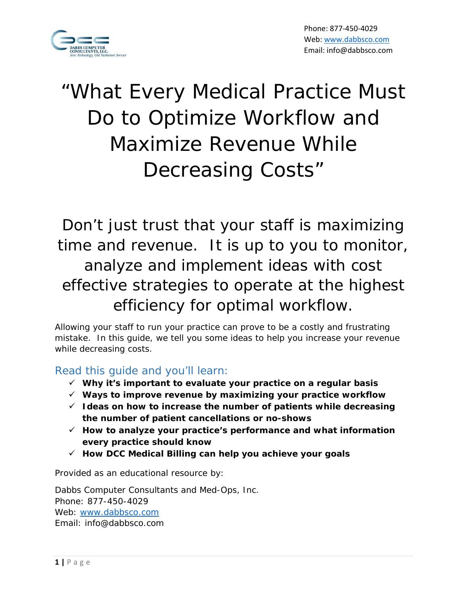

# "What Every Medical Practice Must Do to Optimize Workflow and Maximize Revenue While Decreasing Costs"

Don't just trust that your staff is maximizing time and revenue. It is up to you to monitor, analyze and implement ideas with cost effective strategies to operate at the highest efficiency for optimal workflow.

Allowing your staff to run your practice can prove to be a costly and frustrating mistake. In this guide, we tell you some ideas to help you increase your revenue while decreasing costs.

# Read this guide and you'll learn:

- **Why it's important to evaluate your practice on a regular basis**
- **Ways to improve revenue by maximizing your practice workflow**
- **Ideas on how to increase the number of patients while decreasing the number of patient cancellations or no-shows**
- **How to analyze your practice's performance and what information every practice should know**
- **How DCC Medical Billing can help you achieve your goals**

Provided as an educational resource by:

Dabbs Computer Consultants and Med-Ops, Inc. Phone: 877-450-4029 Web: www.dabbsco.com Email: info@dabbsco.com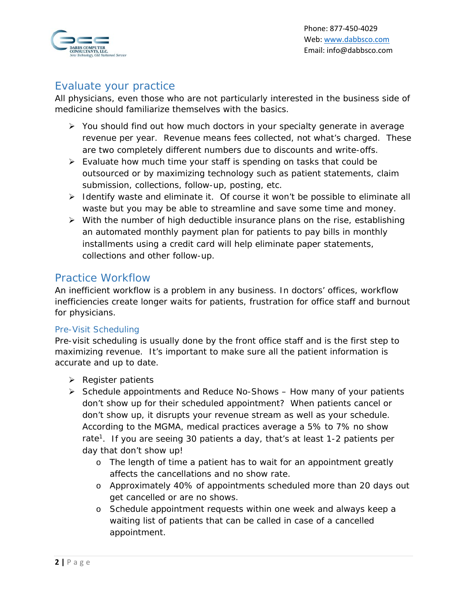

# Evaluate your practice

All physicians, even those who are not particularly interested in the business side of medicine should familiarize themselves with the basics.

- $\triangleright$  You should find out how much doctors in your specialty generate in average revenue per year. Revenue means fees collected, not what's charged. These are two completely different numbers due to discounts and write-offs.
- $\triangleright$  Evaluate how much time your staff is spending on tasks that could be outsourced or by maximizing technology such as patient statements, claim submission, collections, follow-up, posting, etc.
- $\triangleright$  Identify waste and eliminate it. Of course it won't be possible to eliminate all waste but you may be able to streamline and save some time and money.
- $\triangleright$  With the number of high deductible insurance plans on the rise, establishing an automated monthly payment plan for patients to pay bills in monthly installments using a credit card will help eliminate paper statements, collections and other follow-up.

## Practice Workflow

An inefficient workflow is a problem in any business. In doctors' offices, workflow inefficiencies create longer waits for patients, frustration for office staff and burnout for physicians.

## Pre-Visit Scheduling

Pre-visit scheduling is usually done by the front office staff and is the first step to maximizing revenue. It's important to make sure all the patient information is accurate and up to date.

- $\triangleright$  Register patients
- $\triangleright$  Schedule appointments and Reduce No-Shows How many of your patients don't show up for their scheduled appointment? When patients cancel or don't show up, it disrupts your revenue stream as well as your schedule. According to the MGMA, medical practices average a 5% to 7% no show rate<sup>1</sup>. If you are seeing 30 patients a day, that's at least 1-2 patients per day that don't show up!
	- o The length of time a patient has to wait for an appointment greatly affects the cancellations and no show rate.
	- o Approximately 40% of appointments scheduled more than 20 days out get cancelled or are no shows.
	- o Schedule appointment requests within one week and always keep a waiting list of patients that can be called in case of a cancelled appointment.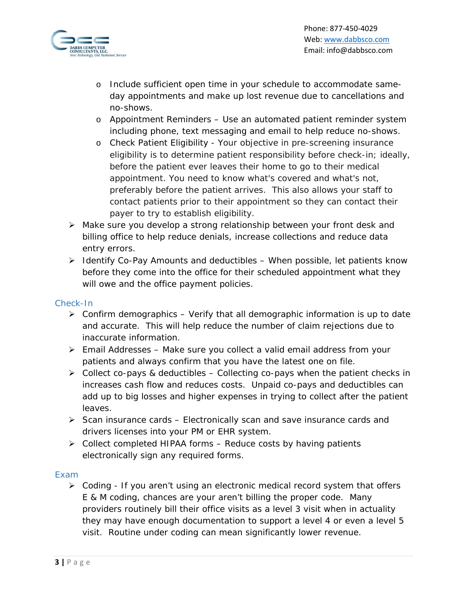

- o Include sufficient open time in your schedule to accommodate sameday appointments and make up lost revenue due to cancellations and no-shows.
- o Appointment Reminders Use an automated patient reminder system including phone, text messaging and email to help reduce no-shows.
- o Check Patient Eligibility Your objective in pre-screening insurance eligibility is to determine patient responsibility before check-in; ideally, before the patient ever leaves their home to go to their medical appointment. You need to know what's covered and what's not, preferably before the patient arrives. This also allows your staff to contact patients prior to their appointment so they can contact their payer to try to establish eligibility.
- Make sure you develop a strong relationship between your front desk and billing office to help reduce denials, increase collections and reduce data entry errors.
- $\triangleright$  Identify Co-Pay Amounts and deductibles When possible, let patients know before they come into the office for their scheduled appointment what they will owe and the office payment policies.

#### Check-In

- $\triangleright$  Confirm demographics Verify that all demographic information is up to date and accurate. This will help reduce the number of claim rejections due to inaccurate information.
- $\triangleright$  Email Addresses Make sure you collect a valid email address from your patients and always confirm that you have the latest one on file.
- $\triangleright$  Collect co-pays & deductibles Collecting co-pays when the patient checks in increases cash flow and reduces costs. Unpaid co-pays and deductibles can add up to big losses and higher expenses in trying to collect after the patient leaves.
- $\triangleright$  Scan insurance cards Electronically scan and save insurance cards and drivers licenses into your PM or EHR system.
- $\triangleright$  Collect completed HIPAA forms Reduce costs by having patients electronically sign any required forms.

#### Exam

 $\triangleright$  Coding - If you aren't using an electronic medical record system that offers E & M coding, chances are your aren't billing the proper code. Many providers routinely bill their office visits as a level 3 visit when in actuality they may have enough documentation to support a level 4 or even a level 5 visit. Routine under coding can mean significantly lower revenue.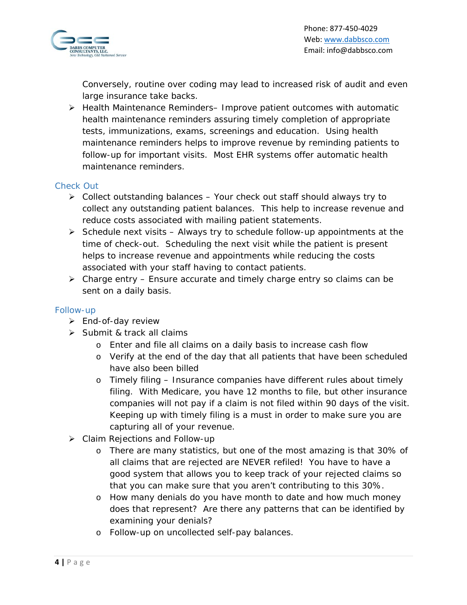

Conversely, routine over coding may lead to increased risk of audit and even large insurance take backs.

▶ Health Maintenance Reminders- Improve patient outcomes with automatic health maintenance reminders assuring timely completion of appropriate tests, immunizations, exams, screenings and education. Using health maintenance reminders helps to improve revenue by reminding patients to follow-up for important visits. Most EHR systems offer automatic health maintenance reminders.

## Check Out

- $\triangleright$  Collect outstanding balances Your check out staff should always try to collect any outstanding patient balances. This help to increase revenue and reduce costs associated with mailing patient statements.
- $\triangleright$  Schedule next visits Always try to schedule follow-up appointments at the time of check-out. Scheduling the next visit while the patient is present helps to increase revenue and appointments while reducing the costs associated with your staff having to contact patients.
- $\triangleright$  Charge entry Ensure accurate and timely charge entry so claims can be sent on a daily basis.

## Follow-up

- $\triangleright$  End-of-day review
- $\triangleright$  Submit & track all claims
	- o Enter and file all claims on a daily basis to increase cash flow
	- o Verify at the end of the day that all patients that have been scheduled have also been billed
	- o Timely filing Insurance companies have different rules about timely filing. With Medicare, you have 12 months to file, but other insurance companies will not pay if a claim is not filed within 90 days of the visit. Keeping up with timely filing is a must in order to make sure you are capturing all of your revenue.
- Claim Rejections and Follow-up
	- o There are many statistics, but one of the most amazing is that 30% of all claims that are rejected are NEVER refiled! You have to have a good system that allows you to keep track of your rejected claims so that you can make sure that you aren't contributing to this 30%.
	- o How many denials do you have month to date and how much money does that represent? Are there any patterns that can be identified by examining your denials?
	- o Follow-up on uncollected self-pay balances.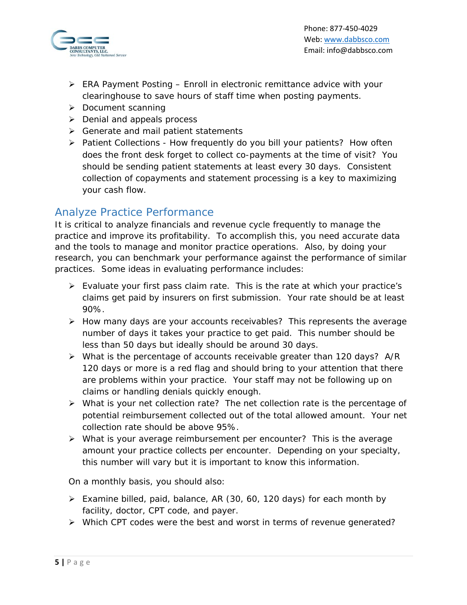

- $\triangleright$  ERA Payment Posting Enroll in electronic remittance advice with your clearinghouse to save hours of staff time when posting payments.
- $\triangleright$  Document scanning
- $\triangleright$  Denial and appeals process
- $\triangleright$  Generate and mail patient statements
- $\triangleright$  Patient Collections How frequently do you bill your patients? How often does the front desk forget to collect co-payments at the time of visit? You should be sending patient statements at least every 30 days. Consistent collection of copayments and statement processing is a key to maximizing your cash flow.

## Analyze Practice Performance

It is critical to analyze financials and revenue cycle frequently to manage the practice and improve its profitability. To accomplish this, you need accurate data and the tools to manage and monitor practice operations. Also, by doing your research, you can benchmark your performance against the performance of similar practices. Some ideas in evaluating performance includes:

- $\triangleright$  Evaluate your first pass claim rate. This is the rate at which your practice's claims get paid by insurers on first submission. Your rate should be at least 90%.
- $\triangleright$  How many days are your accounts receivables? This represents the average number of days it takes your practice to get paid. This number should be less than 50 days but ideally should be around 30 days.
- $\triangleright$  What is the percentage of accounts receivable greater than 120 days? A/R 120 days or more is a red flag and should bring to your attention that there are problems within your practice. Your staff may not be following up on claims or handling denials quickly enough.
- $\triangleright$  What is your net collection rate? The net collection rate is the percentage of potential reimbursement collected out of the total allowed amount. Your net collection rate should be above 95%.
- What is your average reimbursement per encounter? This is the average amount your practice collects per encounter. Depending on your specialty, this number will vary but it is important to know this information.

On a monthly basis, you should also:

- $\triangleright$  Examine billed, paid, balance, AR (30, 60, 120 days) for each month by facility, doctor, CPT code, and payer.
- ▶ Which CPT codes were the best and worst in terms of revenue generated?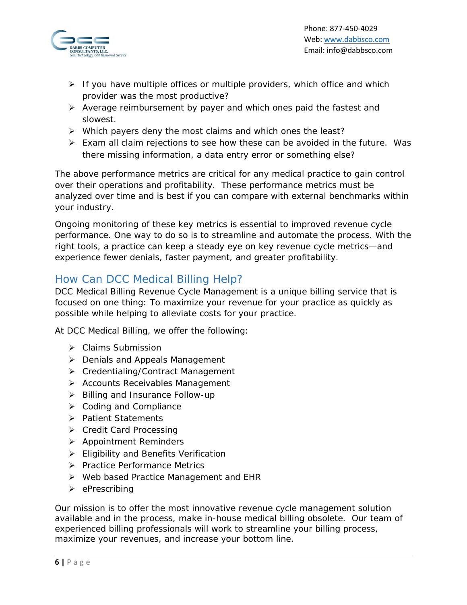

- $\triangleright$  If you have multiple offices or multiple providers, which office and which provider was the most productive?
- $\triangleright$  Average reimbursement by payer and which ones paid the fastest and slowest.
- $\triangleright$  Which payers deny the most claims and which ones the least?
- Exam all claim rejections to see how these can be avoided in the future. Was there missing information, a data entry error or something else?

The above performance metrics are critical for any medical practice to gain control over their operations and profitability. These performance metrics must be analyzed over time and is best if you can compare with external benchmarks within your industry.

Ongoing monitoring of these key metrics is essential to improved revenue cycle performance. One way to do so is to streamline and automate the process. With the right tools, a practice can keep a steady eye on key revenue cycle metrics—and experience fewer denials, faster payment, and greater profitability.

## How Can DCC Medical Billing Help?

DCC Medical Billing Revenue Cycle Management is a unique billing service that is focused on one thing: To maximize your revenue for your practice as quickly as possible while helping to alleviate costs for your practice.

At DCC Medical Billing, we offer the following:

- ▶ Claims Submission
- ▶ Denials and Appeals Management
- ▶ Credentialing/Contract Management
- > Accounts Receivables Management
- $\triangleright$  Billing and Insurance Follow-up
- $\triangleright$  Coding and Compliance
- > Patient Statements
- $\triangleright$  Credit Card Processing
- $\triangleright$  Appointment Reminders
- Eligibility and Benefits Verification
- > Practice Performance Metrics
- ▶ Web based Practice Management and EHR
- $\triangleright$  ePrescribing

Our mission is to offer the most innovative revenue cycle management solution available and in the process, make in-house medical billing obsolete. Our team of experienced billing professionals will work to streamline your billing process, maximize your revenues, and increase your bottom line.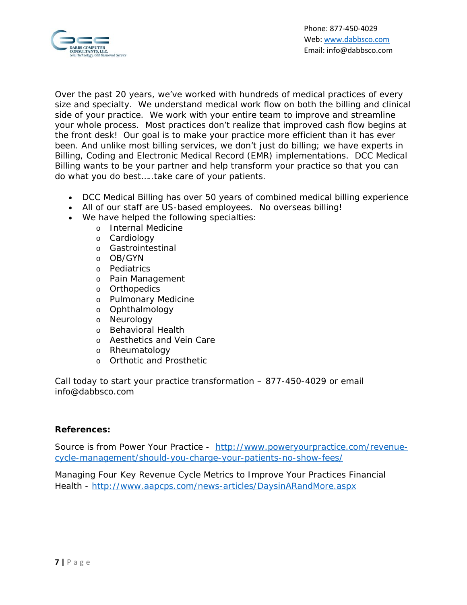

Over the past 20 years, we've worked with hundreds of medical practices of every size and specialty. We understand medical work flow on both the billing and clinical side of your practice. We work with your entire team to improve and streamline your whole process. Most practices don't realize that improved cash flow begins at the front desk! Our goal is to make your practice more efficient than it has ever been. And unlike most billing services, we don't just do billing; we have experts in Billing, Coding and Electronic Medical Record (EMR) implementations. DCC Medical Billing wants to be your partner and help transform your practice so that you can do what you do best…..take care of your patients.

- DCC Medical Billing has over 50 years of combined medical billing experience
- All of our staff are US-based employees. No overseas billing!
- We have helped the following specialties:
	- o Internal Medicine
	- o Cardiology
	- o Gastrointestinal
	- o OB/GYN
	- o Pediatrics
	- o Pain Management
	- o Orthopedics
	- o Pulmonary Medicine
	- o Ophthalmology
	- o Neurology
	- o Behavioral Health
	- o Aesthetics and Vein Care
	- o Rheumatology
	- o Orthotic and Prosthetic

Call today to start your practice transformation – 877-450-4029 or email info@dabbsco.com

#### **References:**

Source is from Power Your Practice - http://www.poweryourpractice.com/revenuecycle-management/should-you-charge-your-patients-no-show-fees/

Managing Four Key Revenue Cycle Metrics to Improve Your Practices Financial Health - http://www.aapcps.com/news-articles/DaysinARandMore.aspx